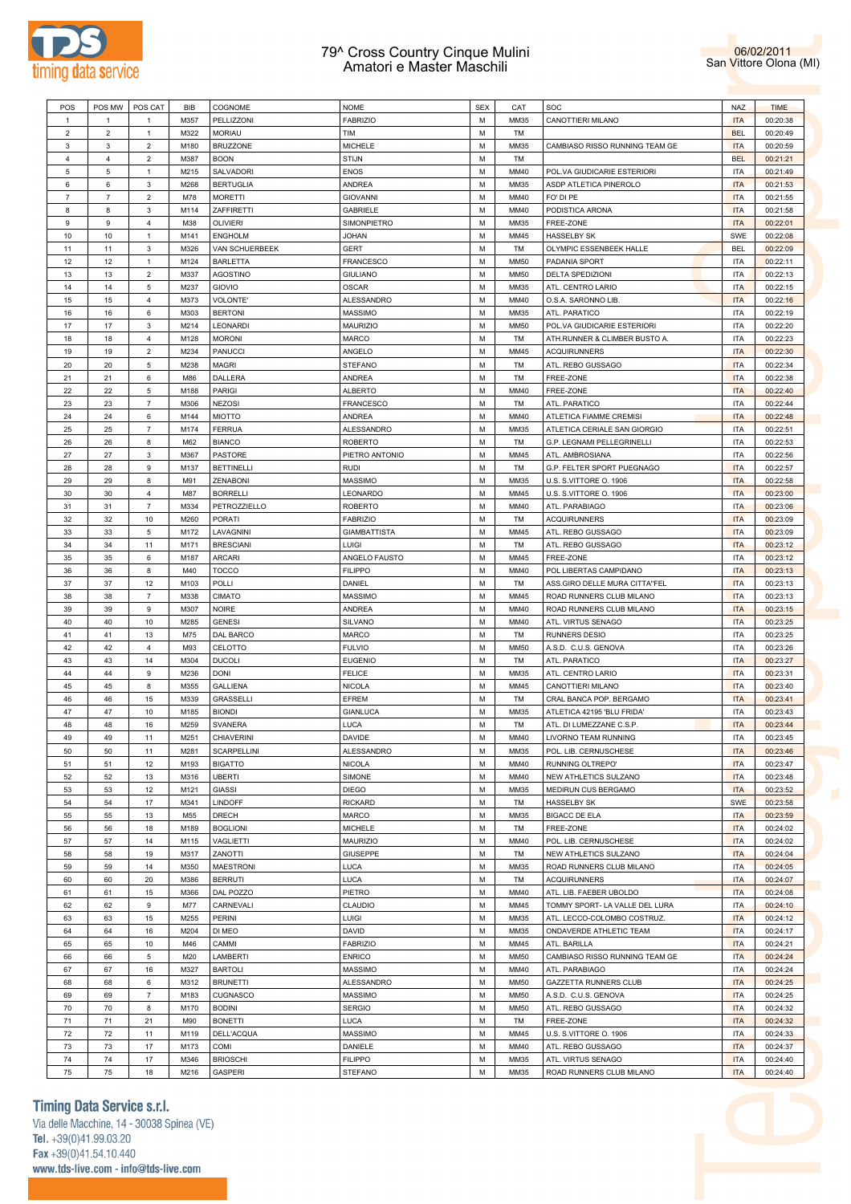



| POS            | POS MW         | POS CAT        | <b>BIB</b> | COGNOME            | <b>NOME</b>         | <b>SEX</b> | CAT         | SOC                            | <b>NAZ</b> | <b>TIME</b> |
|----------------|----------------|----------------|------------|--------------------|---------------------|------------|-------------|--------------------------------|------------|-------------|
|                |                |                |            |                    |                     |            |             |                                |            |             |
| $\mathbf{1}$   | $\mathbf{1}$   | $\mathbf{1}$   | M357       | PELLIZZONI         | <b>FABRIZIO</b>     | М          | MM35        | CANOTTIERI MILANO              | <b>ITA</b> | 00:20:38    |
| $\overline{2}$ | $\overline{2}$ | 1              | M322       | <b>MORIAU</b>      | TIM                 | М          | TM          |                                | <b>BEL</b> | 00:20:49    |
| 3              | 3              | $\overline{2}$ | M180       | <b>BRUZZONE</b>    | <b>MICHELE</b>      | М          | MM35        | CAMBIASO RISSO RUNNING TEAM GE | <b>ITA</b> | 00:20:59    |
| $\overline{4}$ | $\overline{4}$ | $\overline{2}$ | M387       | <b>BOON</b>        | <b>STIJN</b>        | М          | TM          |                                | <b>BEL</b> | 00:21:21    |
| 5              | 5              | $\mathbf{1}$   | M215       | SALVADORI          | <b>ENOS</b>         | M          | MM40        | POL.VA GIUDICARIE ESTERIORI    | <b>ITA</b> | 00:21:49    |
|                |                |                |            |                    |                     |            |             |                                |            |             |
| 6              | 6              | 3              | M268       | <b>BERTUGLIA</b>   | <b>ANDREA</b>       | М          | MM35        | ASDP ATLETICA PINEROLO         | <b>ITA</b> | 00:21:53    |
| $\overline{7}$ | $\overline{7}$ | $\overline{2}$ | M78        | <b>MORETTI</b>     | <b>GIOVANNI</b>     | М          | MM40        | FO' DI PE                      | <b>ITA</b> | 00:21:55    |
| 8              | 8              | 3              | M114       | ZAFFIRETTI         | GABRIELE            | M          | MM40        | PODISTICA ARONA                | <b>ITA</b> | 00:21:58    |
| 9              | 9              | $\overline{4}$ | M38        | <b>OLIVIERI</b>    | SIMONPIETRO         | M          | MM35        | FREE-ZONE                      | <b>ITA</b> | 00:22:01    |
| 10             | 10             | $\mathbf{1}$   | M141       | <b>ENGHOLM</b>     | <b>JOHAN</b>        | М          | MM45        | <b>HASSELBY SK</b>             | SWE        | 00:22:08    |
|                |                |                |            |                    |                     |            |             |                                |            |             |
| 11             | 11             | 3              | M326       | VAN SCHUERBEEK     | <b>GERT</b>         | М          | TM          | OLYMPIC ESSENBEEK HALLE        | <b>BEL</b> | 00:22:09    |
| 12             | 12             | $\mathbf{1}$   | M124       | <b>BARLETTA</b>    | FRANCESCO           | М          | <b>MM50</b> | PADANIA SPORT                  | <b>ITA</b> | 00:22:11    |
| 13             | 13             | $\overline{2}$ | M337       | <b>AGOSTINO</b>    | <b>GIULIANO</b>     | M          | <b>MM50</b> | <b>DELTA SPEDIZIONI</b>        | <b>ITA</b> | 00:22:13    |
| 14             | 14             | 5              | M237       | GIOVIO             | <b>OSCAR</b>        | М          | MM35        | ATL. CENTRO LARIO              | <b>ITA</b> | 00:22:15    |
| 15             | 15             | $\overline{4}$ | M373       | VOLONTE'           | ALESSANDRO          | М          | MM40        | O.S.A. SARONNO LIB.            | <b>ITA</b> | 00:22:16    |
|                |                |                |            |                    |                     |            |             |                                |            |             |
| 16             | 16             | 6              | M303       | <b>BERTONI</b>     | MASSIMO             | М          | MM35        | ATL. PARATICO                  | <b>ITA</b> | 00:22:19    |
| 17             | 17             | 3              | M214       | <b>LEONARDI</b>    | MAURIZIO            | M          | <b>MM50</b> | POL.VA GIUDICARIE ESTERIORI    | <b>ITA</b> | 00:22:20    |
| 18             | 18             | $\overline{4}$ | M128       | <b>MORONI</b>      | MARCO               | М          | TM          | ATH.RUNNER & CLIMBER BUSTO A   | <b>ITA</b> | 00:22:23    |
| 19             | 19             | $\overline{2}$ | M234       | PANUCCI            | ANGELO              | М          | MM45        | <b>ACQUIRUNNERS</b>            | <b>ITA</b> | 00:22:30    |
| 20             | 20             | 5              | M238       | <b>MAGRI</b>       | <b>STEFANO</b>      | М          | TM          | ATL. REBO GUSSAGO              | <b>ITA</b> | 00:22:34    |
|                |                |                |            |                    |                     |            |             |                                |            |             |
| 21             | 21             | 6              | M86        | <b>DALLERA</b>     | <b>ANDREA</b>       | М          | TM          | FREE-ZONE                      | <b>ITA</b> | 00:22:38    |
| 22             | 22             | 5              | M188       | PARIGI             | ALBERTO             | М          | MM40        | FREE-ZONE                      | <b>ITA</b> | 00:22:40    |
| 23             | 23             | $\overline{7}$ | M306       | <b>NEZOSI</b>      | <b>FRANCESCO</b>    | М          | TM          | ATL. PARATICO                  | <b>ITA</b> | 00:22:44    |
| 24             | 24             | 6              | M144       | <b>MIOTTO</b>      | <b>ANDREA</b>       | М          | MM40        | ATLETICA FIAMME CREMISI        | <b>ITA</b> | 00:22:48    |
| 25             | 25             | $\overline{7}$ | M174       | FERRUA             | ALESSANDRO          | M          | MM35        | ATLETICA CERIALE SAN GIORGIO   | ITA        | 00:22:51    |
|                |                |                |            |                    |                     |            |             |                                |            |             |
| 26             | 26             | 8              | M62        | <b>BIANCO</b>      | <b>ROBERTO</b>      | М          | TM          | G.P. LEGNAMI PELLEGRINELLI     | <b>ITA</b> | 00:22:53    |
| 27             | 27             | 3              | M367       | <b>PASTORE</b>     | PIETRO ANTONIO      | М          | MM45        | ATL. AMBROSIANA                | <b>ITA</b> | 00:22:56    |
| 28             | 28             | 9              | M137       | <b>BETTINELLI</b>  | <b>RUDI</b>         | М          | TM          | G.P. FELTER SPORT PUEGNAGO     | <b>ITA</b> | 00:22:57    |
| 29             | 29             | 8              | M91        | ZENABONI           | <b>MASSIMO</b>      | M          | MM35        | U.S. S.VITTORE O. 1906         | <b>ITA</b> | 00:22:58    |
| 30             | 30             | $\overline{4}$ | M87        | <b>BORRELLI</b>    | LEONARDO            | М          | MM45        | U.S. S.VITTORE O. 1906         | <b>ITA</b> | 00:23:00    |
|                |                |                |            |                    |                     |            |             |                                |            |             |
| 31             | 31             | $\overline{7}$ | M334       | PETROZZIELLO       | <b>ROBERTO</b>      | М          | MM40        | ATL. PARABIAGO                 | <b>ITA</b> | 00:23:06    |
| 32             | 32             | 10             | M260       | PORATI             | <b>FABRIZIO</b>     | М          | TM          | <b>ACQUIRUNNERS</b>            | <b>ITA</b> | 00:23:09    |
| 33             | 33             | 5              | M172       | LAVAGNINI          | <b>GIAMBATTISTA</b> | M          | MM45        | ATL. REBO GUSSAGO              | <b>ITA</b> | 00:23:09    |
| 34             | 34             | 11             | M171       | <b>BRESCIANI</b>   | LUIGI               | М          | TM          | ATL. REBO GUSSAGO              | <b>ITA</b> | 00:23:12    |
| 35             | 35             | 6              | M187       | <b>ARCARI</b>      | ANGELO FAUSTO       | М          | MM45        | FREE-ZONE                      | <b>ITA</b> | 00:23:12    |
|                |                |                |            |                    |                     |            |             |                                |            |             |
| 36             | 36             | 8              | M40        | <b>TOCCO</b>       | <b>FILIPPO</b>      | М          | MM40        | POL LIBERTAS CAMPIDANO         | <b>ITA</b> | 00:23:13    |
| 37             | 37             | 12             | M103       | POLLI              | DANIEL              | M          | TM          | ASS.GIRO DELLE MURA CITTA"FEL  | <b>ITA</b> | 00:23:13    |
| 38             | 38             | $\overline{7}$ | M338       | <b>CIMATO</b>      | <b>MASSIMO</b>      | M          | MM45        | ROAD RUNNERS CLUB MILANO       | <b>ITA</b> | 00:23:13    |
| 39             | 39             | 9              | M307       | <b>NOIRE</b>       | <b>ANDREA</b>       | М          | MM40        | ROAD RUNNERS CLUB MILANO       | <b>ITA</b> | 00:23:15    |
| 40             | 40             | 10             | M285       | <b>GENESI</b>      |                     | М          | MM40        | ATL. VIRTUS SENAGO             | <b>ITA</b> | 00:23:25    |
|                |                |                |            |                    | SILVANO             |            |             |                                |            |             |
| 41             | 41             | 13             | M75        | DAL BARCO          | MARCO               | M          | TM          | <b>RUNNERS DESIO</b>           | <b>ITA</b> | 00:23:25    |
| 42             | 42             | $\overline{4}$ | M93        | CELOTTO            | <b>FULVIO</b>       | M          | <b>MM50</b> | A.S.D. C.U.S. GENOVA           | <b>ITA</b> | 00:23:26    |
| 43             | 43             | 14             | M304       | <b>DUCOLI</b>      | <b>EUGENIO</b>      | М          | TM          | ATL. PARATICO                  | <b>ITA</b> | 00:23:27    |
| 44             | 44             | 9              | M236       | <b>DONI</b>        | <b>FELICE</b>       | М          | MM35        | ATL. CENTRO LARIO              | <b>ITA</b> | 00:23:31    |
| 45             | 45             | 8              |            |                    |                     | M          | MM45        |                                | <b>ITA</b> |             |
|                |                |                | M355       | <b>GALLIENA</b>    | <b>NICOLA</b>       |            |             | CANOTTIERI MILANO              |            | 00:23:40    |
| 46             | 46             | 15             | M339       | <b>GRASSELLI</b>   | EFREM               | М          | TM          | CRAL BANCA POP. BERGAMO        | <b>ITA</b> | 00:23:41    |
| 47             | 47             | 10             | M185       | <b>BIONDI</b>      | <b>GIANLUCA</b>     | М          | MM35        | ATLETICA 42195 'BLU FRIDA'     | <b>ITA</b> | 00:23:43    |
| 48             | 48             | 16             | M259       | <b>SVANERA</b>     | LUCA                | М          | TM          | ATL. DI LUMEZZANE C.S.P.       | <b>ITA</b> | 00:23:44    |
| 49             | 49             | 11             | M251       | <b>CHIAVERINI</b>  | <b>DAVIDE</b>       | M          | MM40        | LIVORNO TEAM RUNNING           | <b>ITA</b> | 00:23:45    |
|                |                |                |            |                    |                     |            |             |                                |            |             |
| 50             | 50             | 11             | M281       | <b>SCARPELLINI</b> | ALESSANDRO          | М          | MM35        | POL. LIB. CERNUSCHESE          | <b>ITA</b> | 00:23:46    |
| 51             | 51             | $12\,$         | M193       | <b>BIGATTO</b>     | <b>NICOLA</b>       | М          | MM40        | RUNNING OLTREPO'               | <b>ITA</b> | 00:23:47    |
| 52             | 52             | 13             | M316       | <b>UBERTI</b>      | SIMONE              | М          | MM40        | NEW ATHLETICS SULZANO          | <b>ITA</b> | 00:23:48    |
| 53             | 53             | 12             | M121       | GIASSI             | <b>DIEGO</b>        | М          | MM35        | MEDIRUN CUS BERGAMO            | <b>ITA</b> | 00:23:52    |
| 54             | 54             | 17             | M341       | LINDOFF            | <b>RICKARD</b>      | М          | TM          | <b>HASSELBY SK</b>             | SWE        | 00:23:58    |
|                |                |                |            | DRECH              | MARCO               | М          |             |                                |            | 00:23:59    |
| 55             | 55             | $13$           | M55        |                    |                     |            | MM35        | <b>BIGACC DE ELA</b>           | <b>ITA</b> |             |
| 56             | 56             | 18             | M189       | <b>BOGLIONI</b>    | MICHELE             | М          | TM          | FREE-ZONE                      | <b>ITA</b> | 00:24:02    |
| 57             | 57             | 14             | M115       | VAGLIETTI          | MAURIZIO            | М          | MM40        | POL. LIB. CERNUSCHESE          | <b>ITA</b> | 00:24:02    |
| 58             | 58             | 19             | M317       | ZANOTTI            | <b>GIUSEPPE</b>     | М          | TM          | NEW ATHLETICS SULZANO          | <b>ITA</b> | 00:24:04    |
| 59             | 59             | $14$           | M350       | <b>MAESTRONI</b>   | <b>LUCA</b>         | М          | MM35        | ROAD RUNNERS CLUB MILANO       | ITA        | 00:24:05    |
| 60             | 60             | 20             | M386       | <b>BERRUTI</b>     |                     | М          | TM          | <b>ACQUIRUNNERS</b>            | <b>ITA</b> | 00:24:07    |
|                |                |                |            |                    | LUCA                |            |             |                                |            |             |
| 61             | 61             | $15\,$         | M366       | DAL POZZO          | PIETRO              | М          | MM40        | ATL. LIB. FAEBER UBOLDO        | <b>ITA</b> | 00:24:08    |
| 62             | 62             | 9              | M77        | CARNEVALI          | CLAUDIO             | М          | MM45        | TOMMY SPORT- LA VALLE DEL LURA | <b>ITA</b> | 00:24:10    |
| 63             | 63             | $15\,$         | M255       | PERINI             | LUIGI               | М          | MM35        | ATL. LECCO-COLOMBO COSTRUZ.    | <b>ITA</b> | 00:24:12    |
| 64             | 64             | 16             | M204       | DI MEO             | DAVID               | М          | MM35        | ONDAVERDE ATHLETIC TEAM        | <b>ITA</b> | 00:24:17    |
|                | 65             | $10$           | M46        | CAMMI              |                     | М          | MM45        |                                |            |             |
| 65             |                |                |            |                    | <b>FABRIZIO</b>     |            |             | ATL. BARILLA                   | <b>ITA</b> | 00:24:21    |
| 66             | 66             | 5              | M20        | LAMBERTI           | <b>ENRICO</b>       | М          | <b>MM50</b> | CAMBIASO RISSO RUNNING TEAM GE | <b>ITA</b> | 00:24:24    |
| 67             | 67             | $16\,$         | M327       | <b>BARTOLI</b>     | <b>MASSIMO</b>      | М          | MM40        | ATL. PARABIAGO                 | <b>ITA</b> | 00:24:24    |
| 68             | 68             | 6              | M312       | <b>BRUNETTI</b>    | ALESSANDRO          | М          | <b>MM50</b> | GAZZETTA RUNNERS CLUB          | <b>ITA</b> | 00:24:25    |
| 69             | 69             | $\overline{7}$ | M183       | CUGNASCO           | MASSIMO             | М          | <b>MM50</b> | A.S.D. C.U.S. GENOVA           | <b>ITA</b> | 00:24:25    |
|                |                |                |            |                    |                     |            |             |                                |            |             |
| 70             | 70             | 8              | M170       | <b>BODINI</b>      | <b>SERGIO</b>       | М          | <b>MM50</b> | ATL. REBO GUSSAGO              | <b>ITA</b> | 00:24:32    |
| 71             | $71$           | 21             | M90        | <b>BONETTI</b>     | LUCA                | М          | TM          | FREE-ZONE                      | <b>ITA</b> | 00:24:32    |
| 72             | 72             | 11             | M119       | DELL'ACQUA         | MASSIMO             | М          | MM45        | U.S. S.VITTORE O. 1906         | <b>ITA</b> | 00:24:33    |
| 73             | 73             | 17             | M173       | COMI               | DANIELE             | М          | MM40        | ATL. REBO GUSSAGO              | <b>ITA</b> | 00:24:37    |
| ${\bf 74}$     | 74             | 17             | M346       | <b>BRIOSCHI</b>    | <b>FILIPPO</b>      | М          | MM35        | ATL. VIRTUS SENAGO             | <b>ITA</b> | 00:24:40    |
|                |                |                |            |                    |                     |            |             |                                |            |             |
| 75             | 75             | 18             | M216       | <b>GASPERI</b>     | <b>STEFANO</b>      | M          | MM35        | ROAD RUNNERS CLUB MILANO       | <b>ITA</b> | 00:24:40    |

# **Timing Data Service s.r.l.**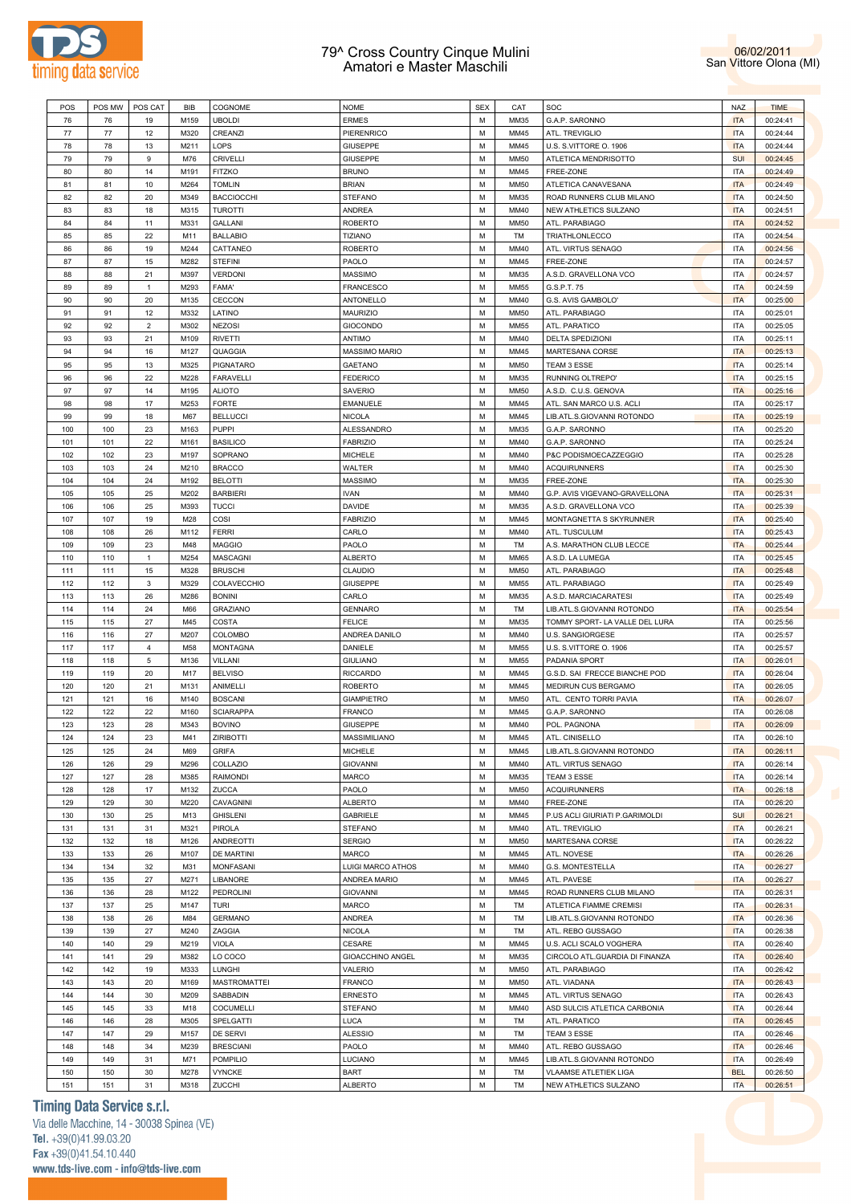



| POS                             | POS MW | POS CAT          | <b>BIB</b> | COGNOME             | <b>NOME</b>          | <b>SEX</b> | CAT         | SOC                            | <b>NAZ</b> | <b>TIME</b>                                                                                                          |
|---------------------------------|--------|------------------|------------|---------------------|----------------------|------------|-------------|--------------------------------|------------|----------------------------------------------------------------------------------------------------------------------|
| 76                              | 76     | 19               | M159       | <b>UBOLDI</b>       | <b>ERMES</b>         | M          | MM35        | G.A.P. SARONNO                 | <b>ITA</b> | 00:24:41                                                                                                             |
| 77                              | $77\,$ | 12               | M320       | CREANZI             | PIERENRICO           | M          | MM45        | ATL. TREVIGLIO                 | <b>ITA</b> | 00:24:44                                                                                                             |
| 78                              | 78     | 13               | M211       | LOPS                | <b>GIUSEPPE</b>      | M          | MM45        | U.S. S.VITTORE O. 1906         | <b>ITA</b> | 00:24:44                                                                                                             |
|                                 |        |                  |            |                     |                      |            |             |                                |            |                                                                                                                      |
| 79                              | 79     | $\boldsymbol{9}$ | M76        | <b>CRIVELLI</b>     | <b>GIUSEPPE</b>      | M          | <b>MM50</b> | ATLETICA MENDRISOTTO           | <b>SUI</b> | 00:24:45                                                                                                             |
| 80                              | 80     | 14               | M191       | <b>FITZKO</b>       | <b>BRUNO</b>         | M          | MM45        | FREE-ZONE                      | <b>ITA</b> | 00:24:49                                                                                                             |
| 81                              | 81     | 10               | M264       | <b>TOMLIN</b>       | <b>BRIAN</b>         | M          | <b>MM50</b> | ATLETICA CANAVESANA            | <b>ITA</b> | 00:24:49                                                                                                             |
| 82                              | 82     | 20               | M349       | <b>BACCIOCCHI</b>   | <b>STEFANO</b>       | M          | MM35        | ROAD RUNNERS CLUB MILANO       | <b>ITA</b> | 00:24:50                                                                                                             |
| 83                              | 83     | 18               | M315       | <b>TUROTTI</b>      | <b>ANDREA</b>        | M          | MM40        | NEW ATHLETICS SULZANO          | <b>ITA</b> | 00:24:51                                                                                                             |
| 84                              | 84     | 11               | M331       | GALLANI             | <b>ROBERTO</b>       | M          | <b>MM50</b> | ATL. PARABIAGO                 | <b>ITA</b> | 00:24:52                                                                                                             |
| 85                              | 85     | 22               | M11        | <b>BALLABIO</b>     | <b>TIZIANO</b>       | M          | TM          | TRIATHLONLECCO                 | <b>ITA</b> | 00:24:54                                                                                                             |
|                                 |        |                  |            |                     |                      |            |             |                                |            |                                                                                                                      |
| 86                              | 86     | 19               | M244       | CATTANEO            | <b>ROBERTO</b>       | M          | MM40        | ATL. VIRTUS SENAGO             | <b>ITA</b> | 00:24:56                                                                                                             |
| 87                              | 87     | 15               | M282       | <b>STEFINI</b>      | PAOLO                | M          | MM45        | FREE-ZONE                      | <b>ITA</b> | 00:24:57                                                                                                             |
| 88                              | 88     | 21               | M397       | <b>VERDONI</b>      | <b>MASSIMO</b>       | M          | MM35        | A.S.D. GRAVELLONA VCO          | <b>ITA</b> | 00:24:57                                                                                                             |
| 89                              | 89     | $\mathbf{1}$     | M293       | FAMA'               | <b>FRANCESCO</b>     | M          | MM55        | G.S.P.T. 75                    | <b>ITA</b> | 00:24:59                                                                                                             |
| 90                              | 90     | 20               | M135       | <b>CECCON</b>       | <b>ANTONELLO</b>     | M          | MM40        | G.S. AVIS GAMBOLO'             | <b>ITA</b> | 00:25:00                                                                                                             |
| 91                              | 91     | 12               | M332       | LATINO              | MAURIZIO             | M          | <b>MM50</b> | ATL. PARABIAGO                 | <b>ITA</b> | 00:25:01                                                                                                             |
|                                 |        |                  |            |                     |                      |            |             |                                |            |                                                                                                                      |
| 92                              | 92     | $\overline{2}$   | M302       | <b>NEZOSI</b>       | <b>GIOCONDO</b>      | M          | MM55        | ATL. PARATICO                  | <b>ITA</b> | 00:25:05                                                                                                             |
| 93                              | 93     | 21               | M109       | <b>RIVETTI</b>      | <b>ANTIMO</b>        | M          | MM40        | DELTA SPEDIZIONI               | <b>ITA</b> | 00:25:11                                                                                                             |
| 94                              | 94     | 16               | M127       | QUAGGIA             | <b>MASSIMO MARIO</b> | M          | MM45        | MARTESANA CORSE                | <b>ITA</b> | 00:25:13                                                                                                             |
| 95                              | 95     | 13               | M325       | PIGNATARO           | <b>GAETANO</b>       | M          | <b>MM50</b> | TEAM 3 ESSE                    | <b>ITA</b> | 00:25:14                                                                                                             |
| 96                              | 96     | 22               | M228       |                     |                      | M          | MM35        |                                | <b>ITA</b> |                                                                                                                      |
|                                 |        |                  |            | <b>FARAVELLI</b>    | <b>FEDERICO</b>      |            |             | RUNNING OLTREPO'               |            | 00:25:15                                                                                                             |
| 97                              | 97     | 14               | M195       | <b>ALIOTO</b>       | SAVERIO              | M          | <b>MM50</b> | A.S.D. C.U.S. GENOVA           | <b>ITA</b> | 00:25:16                                                                                                             |
| 98                              | 98     | 17               | M253       | <b>FORTE</b>        | <b>EMANUELE</b>      | M          | MM45        | ATL. SAN MARCO U.S. ACLI       | <b>ITA</b> | 00:25:17                                                                                                             |
| 99                              | 99     | 18               | M67        | <b>BELLUCCI</b>     | <b>NICOLA</b>        | M          | MM45        | LIB.ATL.S.GIOVANNI ROTONDO     | <b>ITA</b> | 00:25:19                                                                                                             |
| 100                             | 100    | 23               | M163       | <b>PUPPI</b>        | ALESSANDRO           | M          | MM35        | G.A.P. SARONNO                 | <b>ITA</b> | 00:25:20                                                                                                             |
| 101                             | 101    | 22               | M161       | <b>BASILICO</b>     | <b>FABRIZIO</b>      | M          | MM40        | G.A.P. SARONNO                 | <b>ITA</b> | 00:25:24                                                                                                             |
|                                 |        |                  |            |                     |                      |            |             |                                |            |                                                                                                                      |
| 102                             | 102    | 23               | M197       | SOPRANO             | <b>MICHELE</b>       | M          | MM40        | P&C PODISMOECAZZEGGIO          | <b>ITA</b> | 00:25:28                                                                                                             |
| 103                             | 103    | 24               | M210       | <b>BRACCO</b>       | WALTER               | M          | MM40        | <b>ACQUIRUNNERS</b>            | <b>ITA</b> | 00:25:30                                                                                                             |
| 104                             | 104    | 24               | M192       | <b>BELOTTI</b>      | <b>MASSIMO</b>       | M          | MM35        | FREE-ZONE                      | <b>ITA</b> | 00:25:30                                                                                                             |
| 105                             | 105    | 25               | M202       | <b>BARBIERI</b>     | <b>IVAN</b>          | M          | MM40        | G.P. AVIS VIGEVANO-GRAVELLONA  | <b>ITA</b> | 00:25:31                                                                                                             |
| 106                             |        | 25               | M393       | <b>TUCCI</b>        |                      | M          | MM35        | A.S.D. GRAVELLONA VCO          | <b>ITA</b> |                                                                                                                      |
|                                 | 106    |                  |            |                     | DAVIDE               |            |             |                                |            | 00:25:39                                                                                                             |
| 107                             | 107    | 19               | M28        | COSI                | <b>FABRIZIO</b>      | M          | MM45        | MONTAGNETTA S SKYRUNNER        | <b>ITA</b> | 00:25:40                                                                                                             |
| 108                             | 108    | 26               | M112       | <b>FERRI</b>        | CARLO                | M          | MM40        | ATL. TUSCULUM                  | <b>ITA</b> | 00:25:43                                                                                                             |
| 109                             | 109    | 23               | M48        | <b>MAGGIO</b>       | PAOLO                | M          | TM          | A.S. MARATHON CLUB LECCE       | <b>ITA</b> | 00:25:44                                                                                                             |
| 110                             | 110    | $\mathbf{1}$     | M254       | MASCAGNI            | <b>ALBERTO</b>       | M          | MM65        | A.S.D. LA LUMEGA               | <b>ITA</b> | 00:25:45                                                                                                             |
|                                 | 111    | 15               | M328       | <b>BRUSCHI</b>      | CLAUDIO              | M          | <b>MM50</b> |                                | <b>ITA</b> | 00:25:48                                                                                                             |
| 111                             |        |                  |            |                     |                      |            |             | ATL. PARABIAGO                 |            |                                                                                                                      |
| 112                             | 112    | 3                | M329       | COLAVECCHIO         | <b>GIUSEPPE</b>      | M          | MM55        | ATL. PARABIAGO                 | <b>ITA</b> | 00:25:49                                                                                                             |
| 113                             | 113    | 26               | M286       | <b>BONINI</b>       | CARLO                | M          | MM35        | A.S.D. MARCIACARATESI          | <b>ITA</b> | 00:25:49                                                                                                             |
| 114                             | 114    | 24               | M66        | <b>GRAZIANO</b>     | <b>GENNARO</b>       | M          | TM          | LIB.ATL.S.GIOVANNI ROTONDO     | <b>ITA</b> | 00:25:54                                                                                                             |
| 115                             | 115    | 27               | M45        | <b>COSTA</b>        | <b>FELICE</b>        | M          | MM35        | TOMMY SPORT- LA VALLE DEL LURA | <b>ITA</b> | 00:25:56                                                                                                             |
| 116                             | 116    | 27               | M207       | COLOMBO             | ANDREA DANILO        | M          | MM40        | U.S. SANGIORGESE               | <b>ITA</b> | 00:25:57                                                                                                             |
|                                 |        | $\overline{4}$   |            |                     |                      | M          |             |                                |            |                                                                                                                      |
| 117                             | 117    |                  | M58        | <b>MONTAGNA</b>     | DANIELE              |            | MM55        | U.S. S.VITTORE O. 1906         | <b>ITA</b> | 00:25:57                                                                                                             |
| 118                             | 118    | 5                | M136       | VILLANI             | <b>GIULIANO</b>      | M          | MM55        | PADANIA SPORT                  | <b>ITA</b> | 00:26:01                                                                                                             |
| 119                             | 119    | 20               | M17        | <b>BELVISO</b>      | <b>RICCARDO</b>      | M          | MM45        | G.S.D. SAI FRECCE BIANCHE POD  | <b>ITA</b> | 00:26:04                                                                                                             |
| 120                             | 120    | 21               | M131       | ANIMELLI            | <b>ROBERTO</b>       | M          | MM45        | MEDIRUN CUS BERGAMO            | <b>ITA</b> | 00:26:05                                                                                                             |
| 121                             | 121    | 16               | M140       | <b>BOSCANI</b>      | <b>GIAMPIETRO</b>    | M          | <b>MM50</b> | ATL. CENTO TORRI PAVIA         | <b>ITA</b> | 00:26:07                                                                                                             |
| 122                             | 122    | 22               | M160       | <b>SCIARAPPA</b>    | FRANCO               | M          | MM45        | G.A.P. SARONNO                 |            |                                                                                                                      |
|                                 |        |                  |            |                     |                      |            |             |                                |            |                                                                                                                      |
| 123                             |        |                  |            |                     |                      |            |             |                                | <b>ITA</b> | 00:26:08                                                                                                             |
|                                 | 123    | 28               | M343       | <b>BOVINO</b>       | <b>GIUSEPPE</b>      | M          | MM40        | POL. PAGNONA                   | <b>ITA</b> | 00:26:09                                                                                                             |
| 124                             | 124    | 23               | M41        | <b>ZIRIBOTTI</b>    | MASSIMILIANO         | M          | MM45        | ATL. CINISELLO                 | <b>ITA</b> |                                                                                                                      |
| 125                             | 125    | 24               | M69        | <b>GRIFA</b>        | MICHELE              | М          | MM45        | LIB.ATL.S.GIOVANNI ROTONDO     | <b>ITA</b> | 00:26:11                                                                                                             |
| 126                             | 126    | 29               | M296       | COLLAZIO            | <b>GIOVANNI</b>      | M          | MM40        | ATL. VIRTUS SENAGO             | <b>ITA</b> | 00:26:14                                                                                                             |
|                                 |        |                  |            |                     |                      |            |             |                                |            |                                                                                                                      |
| 127                             | 127    | 28               | M385       | <b>RAIMONDI</b>     | MARCO                | M          | MM35        | TEAM 3 ESSE                    | <b>ITA</b> | 00:26:14                                                                                                             |
| 128                             | 128    | 17               | M132       | ZUCCA               | PAOLO                | M          | <b>MM50</b> | <b>ACQUIRUNNERS</b>            | <b>ITA</b> | 00:26:18                                                                                                             |
| 129                             | 129    | 30               | M220       | CAVAGNINI           | <b>ALBERTO</b>       | М          | MM40        | FREE-ZONE                      | ITA        | 00:26:20                                                                                                             |
| 130                             | 130    | 25               | M13        | <b>GHISLENI</b>     | GABRIELE             | M          | MM45        | P.US ACLI GIURIATI P.GARIMOLDI | <b>SUI</b> | 00:26:21                                                                                                             |
|                                 | 131    | 31               | M321       | PIROLA              | <b>STEFANO</b>       | М          | MM40        | ATL. TREVIGLIO                 | <b>ITA</b> | 00:26:21                                                                                                             |
| 131                             |        |                  |            |                     |                      |            |             |                                |            |                                                                                                                      |
| 132                             | 132    | 18               | M126       | ANDREOTTI           | <b>SERGIO</b>        | M          | <b>MM50</b> | MARTESANA CORSE                | <b>ITA</b> |                                                                                                                      |
| 133                             | 133    | 26               | M107       | <b>DE MARTINI</b>   | MARCO                | М          | MM45        | ATL. NOVESE                    | <b>ITA</b> |                                                                                                                      |
| 134                             | 134    | 32               | M31        | MONFASANI           | LUIGI MARCO ATHOS    | M          | MM40        | G.S. MONTESTELLA               | <b>ITA</b> |                                                                                                                      |
| 135                             | 135    | 27               | M271       | LIBANORE            | ANDREA MARIO         | М          | MM45        | ATL. PAVESE                    | <b>ITA</b> | 00:26:22<br>00:26:27                                                                                                 |
| 136                             | 136    | 28               | M122       | PEDROLINI           | <b>GIOVANNI</b>      | М          | MM45        | ROAD RUNNERS CLUB MILANO       | <b>ITA</b> | 00:26:31                                                                                                             |
|                                 |        |                  |            |                     |                      |            |             |                                |            |                                                                                                                      |
|                                 | 137    | 25               | M147       | TURI                | MARCO                | М          | TM          | ATLETICA FIAMME CREMISI        | <b>ITA</b> |                                                                                                                      |
|                                 | 138    | 26               | M84        | <b>GERMANO</b>      | ANDREA               | M          | TM          | LIB.ATL.S.GIOVANNI ROTONDO     | <b>ITA</b> |                                                                                                                      |
|                                 | 139    | 27               | M240       | ZAGGIA              | <b>NICOLA</b>        | M          | TM          | ATL. REBO GUSSAGO              | <b>ITA</b> |                                                                                                                      |
|                                 | 140    | 29               | M219       | <b>VIOLA</b>        | CESARE               | M          | MM45        | U.S. ACLI SCALO VOGHERA        | <b>ITA</b> |                                                                                                                      |
|                                 | 141    | 29               | M382       | LO COCO             | GIOACCHINO ANGEL     | М          | MM35        | CIRCOLO ATL.GUARDIA DI FINANZA | <b>ITA</b> |                                                                                                                      |
| 137<br>138<br>139<br>140<br>141 |        |                  |            |                     |                      |            |             |                                |            |                                                                                                                      |
|                                 | 142    | 19               | M333       | LUNGHI              | VALERIO              | М          | <b>MM50</b> | ATL. PARABIAGO                 | <b>ITA</b> |                                                                                                                      |
|                                 | 143    | 20               | M169       | <b>MASTROMATTEI</b> | <b>FRANCO</b>        | M          | <b>MM50</b> | ATL. VIADANA                   | <b>ITA</b> |                                                                                                                      |
| 142<br>143<br>144               | 144    | 30               | M209       | SABBADIN            | <b>ERNESTO</b>       | M          | MM45        | ATL. VIRTUS SENAGO             | <b>ITA</b> |                                                                                                                      |
| 145                             | 145    | 33               | M18        | COCUMELLI           | <b>STEFANO</b>       | М          | MM40        | ASD SULCIS ATLETICA CARBONIA   | <b>ITA</b> | 00:26:31<br>00:26:36<br>00:26:38<br>00:26:40<br>00:26:43<br>00:26:44                                                 |
| 146                             | 146    | 28               | M305       |                     | LUCA                 | М          | TM          |                                | <b>ITA</b> |                                                                                                                      |
|                                 |        |                  |            | SPELGATTI           |                      |            |             | ATL. PARATICO                  |            |                                                                                                                      |
|                                 | 147    | 29               | M157       | DE SERVI            | <b>ALESSIO</b>       | М          | TM          | TEAM 3 ESSE                    | ITA        |                                                                                                                      |
|                                 | 148    | 34               | M239       | <b>BRESCIANI</b>    | PAOLO                | M          | MM40        | ATL. REBO GUSSAGO              | <b>ITA</b> |                                                                                                                      |
|                                 | 149    | 31               | M71        | POMPILIO            | LUCIANO              | M          | MM45        | LIB.ATL.S.GIOVANNI ROTONDO     | <b>ITA</b> | 00:26:10<br>00:26:26<br>00:26:27<br>00:26:40<br>00:26:42<br>00:26:43<br>00:26:45<br>00:26:46<br>00:26:46<br>00:26:49 |
| 147<br>148<br>149<br>150        | 150    | 30               | M278       | <b>VYNCKE</b>       | BART                 | М          | TM          | VLAAMSE ATLETIEK LIGA          | <b>BEL</b> | 00:26:50                                                                                                             |
| 151                             | 151    | 31               | M318       | ZUCCHI              | <b>ALBERTO</b>       | М          | TM          | NEW ATHLETICS SULZANO          | <b>ITA</b> | 00:26:51                                                                                                             |

# **Timing Data Service s.r.l.**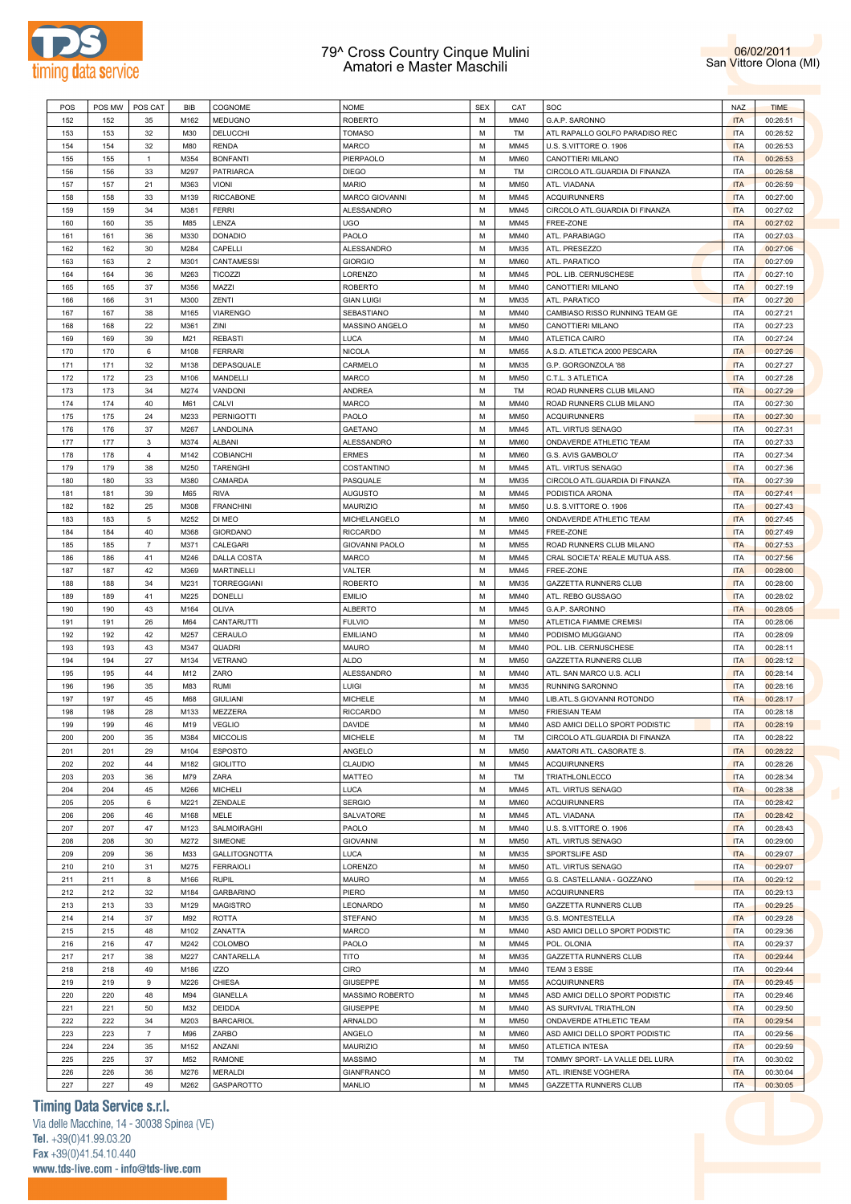



| POS | POS MW | POS CAT        | BIB  | <b>COGNOME</b>       | <b>NOME</b>       | <b>SEX</b> | CAT         | SOC                            | <b>NAZ</b> | <b>TIME</b> |
|-----|--------|----------------|------|----------------------|-------------------|------------|-------------|--------------------------------|------------|-------------|
| 152 | 152    | 35             | M162 | <b>MEDUGNO</b>       | <b>ROBERTO</b>    | M          | MM40        | G.A.P. SARONNO                 | <b>ITA</b> | 00:26:51    |
|     |        |                |      |                      |                   | M          |             |                                |            |             |
| 153 | 153    | 32             | M30  | DELUCCHI             | <b>TOMASO</b>     |            | TM          | ATL RAPALLO GOLFO PARADISO REC | <b>ITA</b> | 00:26:52    |
| 154 | 154    | 32             | M80  | <b>RENDA</b>         | MARCO             | M          | MM45        | U.S. S.VITTORE O. 1906         | <b>ITA</b> | 00:26:53    |
| 155 | 155    | $\mathbf{1}$   | M354 | <b>BONFANTI</b>      | PIERPAOLO         | M          | <b>MM60</b> | CANOTTIERI MILANO              | <b>ITA</b> | 00:26:53    |
| 156 | 156    | 33             | M297 | <b>PATRIARCA</b>     | <b>DIEGO</b>      | M          | TM          | CIRCOLO ATL.GUARDIA DI FINANZA | <b>ITA</b> | 00:26:58    |
| 157 | 157    | 21             | M363 | <b>VIONI</b>         | <b>MARIO</b>      | M          | <b>MM50</b> | ATL. VIADANA                   | <b>ITA</b> | 00:26:59    |
|     |        |                |      |                      |                   |            |             |                                |            |             |
| 158 | 158    | 33             | M139 | <b>RICCABONE</b>     | MARCO GIOVANNI    | M          | MM45        | <b>ACQUIRUNNERS</b>            | <b>ITA</b> | 00:27:00    |
| 159 | 159    | 34             | M381 | <b>FERRI</b>         | ALESSANDRO        | M          | MM45        | CIRCOLO ATL.GUARDIA DI FINANZA | <b>ITA</b> | 00:27:02    |
| 160 | 160    | 35             | M85  | LENZA                | <b>UGO</b>        | M          | MM45        | FREE-ZONE                      | <b>ITA</b> | 00:27:02    |
| 161 | 161    | 36             | M330 | <b>DONADIO</b>       | PAOLO             | M          | MM40        | ATL. PARABIAGO                 | <b>ITA</b> | 00:27:03    |
| 162 | 162    | 30             | M284 | CAPELLI              | ALESSANDRO        | M          | MM35        | ATL. PRESEZZO                  | <b>ITA</b> | 00:27:06    |
|     |        |                |      |                      |                   |            |             |                                |            |             |
| 163 | 163    | $\overline{2}$ | M301 | CANTAMESSI           | <b>GIORGIO</b>    | M          | <b>MM60</b> | ATL. PARATICO                  | <b>ITA</b> | 00:27:09    |
| 164 | 164    | 36             | M263 | <b>TICOZZI</b>       | LORENZO           | M          | MM45        | POL. LIB. CERNUSCHESE          | <b>ITA</b> | 00:27:10    |
| 165 | 165    | 37             | M356 | MAZZI                | <b>ROBERTO</b>    | M          | MM40        | CANOTTIERI MILANO              | <b>ITA</b> | 00:27:19    |
| 166 | 166    | 31             | M300 | ZENTI                | <b>GIAN LUIGI</b> | M          | MM35        | ATL. PARATICO                  | <b>ITA</b> | 00:27:20    |
| 167 | 167    | 38             | M165 | <b>VIARENGO</b>      | SEBASTIANO        | M          | MM40        | CAMBIASO RISSO RUNNING TEAM GE | <b>ITA</b> | 00:27:21    |
|     |        |                |      |                      |                   |            |             |                                |            |             |
| 168 | 168    | 22             | M361 | ZINI                 | MASSINO ANGELO    | M          | <b>MM50</b> | CANOTTIERI MILANO              | <b>ITA</b> | 00:27:23    |
| 169 | 169    | 39             | M21  | <b>REBASTI</b>       | <b>LUCA</b>       | M          | MM40        | ATLETICA CAIRO                 | <b>ITA</b> | 00:27:24    |
| 170 | 170    | 6              | M108 | <b>FERRARI</b>       | <b>NICOLA</b>     | M          | MM55        | A.S.D. ATLETICA 2000 PESCARA   | <b>ITA</b> | 00:27:26    |
| 171 | 171    | 32             | M138 | DEPASQUALE           | CARMELO           | M          | MM35        | G.P. GORGONZOLA '88            | <b>ITA</b> | 00:27:27    |
|     |        |                |      |                      |                   |            |             |                                |            |             |
| 172 | 172    | 23             | M106 | MANDELLI             | <b>MARCO</b>      | M          | <b>MM50</b> | C.T.L. 3 ATLETICA              | <b>ITA</b> | 00:27:28    |
| 173 | 173    | 34             | M274 | VANDONI              | <b>ANDREA</b>     | M          | TM          | ROAD RUNNERS CLUB MILANO       | <b>ITA</b> | 00:27:29    |
| 174 | 174    | 40             | M61  | CALVI                | <b>MARCO</b>      | M          | MM40        | ROAD RUNNERS CLUB MILANO       | <b>ITA</b> | 00:27:30    |
| 175 | 175    | 24             | M233 | PERNIGOTTI           | PAOLO             | M          | <b>MM50</b> | <b>ACQUIRUNNERS</b>            | <b>ITA</b> | 00:27:30    |
| 176 | 176    | 37             | M267 | LANDOLINA            | <b>GAETANO</b>    | M          | MM45        | ATL. VIRTUS SENAGO             | <b>ITA</b> | 00:27:31    |
|     |        |                |      |                      |                   | M          |             |                                |            |             |
| 177 | 177    | $\mathbf{3}$   | M374 | ALBANI               | ALESSANDRO        |            | <b>MM60</b> | ONDAVERDE ATHLETIC TEAM        | <b>ITA</b> | 00:27:33    |
| 178 | 178    | $\overline{4}$ | M142 | COBIANCHI            | <b>ERMES</b>      | M          | <b>MM60</b> | G.S. AVIS GAMBOLO'             | <b>ITA</b> | 00:27:34    |
| 179 | 179    | 38             | M250 | <b>TARENGHI</b>      | COSTANTINO        | M          | MM45        | ATL. VIRTUS SENAGO             | <b>ITA</b> | 00:27:36    |
| 180 | 180    | 33             | M380 | CAMARDA              | PASQUALE          | M          | MM35        | CIRCOLO ATL.GUARDIA DI FINANZA | <b>ITA</b> | 00:27:39    |
| 181 | 181    | 39             | M65  | <b>RIVA</b>          | <b>AUGUSTO</b>    | M          | MM45        | PODISTICA ARONA                | <b>ITA</b> | 00:27:41    |
|     |        |                |      | <b>FRANCHINI</b>     |                   | M          |             |                                |            |             |
| 182 | 182    | 25             | M308 |                      | MAURIZIO          |            | <b>MM50</b> | U.S. S.VITTORE O. 1906         | <b>ITA</b> | 00:27:43    |
| 183 | 183    | 5              | M252 | DI MEO               | MICHELANGELO      | M          | <b>MM60</b> | ONDAVERDE ATHLETIC TEAM        | <b>ITA</b> | 00:27:45    |
| 184 | 184    | 40             | M368 | <b>GIORDANO</b>      | <b>RICCARDO</b>   | M          | MM45        | FREE-ZONE                      | <b>ITA</b> | 00:27:49    |
| 185 | 185    | $\overline{7}$ | M371 | CALEGARI             | GIOVANNI PAOLO    | M          | MM55        | ROAD RUNNERS CLUB MILANO       | <b>ITA</b> | 00:27:53    |
| 186 | 186    | 41             | M246 | <b>DALLA COSTA</b>   | MARCO             | M          | MM45        | CRAL SOCIETA' REALE MUTUA ASS. | <b>ITA</b> | 00:27:56    |
|     |        |                |      |                      |                   |            |             |                                |            |             |
| 187 | 187    | 42             | M369 | <b>MARTINELLI</b>    | VALTER            | M          | MM45        | FREE-ZONE                      | <b>ITA</b> | 00:28:00    |
| 188 | 188    | 34             | M231 | TORREGGIANI          | <b>ROBERTO</b>    | M          | MM35        | GAZZETTA RUNNERS CLUB          | <b>ITA</b> | 00:28:00    |
| 189 | 189    | 41             | M225 | <b>DONELLI</b>       | <b>EMILIO</b>     | M          | MM40        | ATL. REBO GUSSAGO              | <b>ITA</b> | 00:28:02    |
| 190 | 190    | 43             | M164 | OLIVA                | <b>ALBERTO</b>    | M          | MM45        | G.A.P. SARONNO                 | <b>ITA</b> | 00:28:05    |
| 191 | 191    | 26             | M64  | CANTARUTTI           | <b>FULVIO</b>     | M          | <b>MM50</b> | ATLETICA FIAMME CREMISI        | <b>ITA</b> | 00:28:06    |
|     |        |                |      |                      |                   |            |             |                                |            |             |
| 192 | 192    | 42             | M257 | CERAULO              | <b>EMILIANO</b>   | M          | MM40        | PODISMO MUGGIANO               | <b>ITA</b> | 00:28:09    |
| 193 | 193    | 43             | M347 | <b>QUADRI</b>        | <b>MAURO</b>      | M          | MM40        | POL. LIB. CERNUSCHESE          | <b>ITA</b> | 00:28:11    |
| 194 | 194    | 27             | M134 | VETRANO              | <b>ALDO</b>       | M          | <b>MM50</b> | <b>GAZZETTA RUNNERS CLUB</b>   | <b>ITA</b> | 00:28:12    |
| 195 | 195    | 44             | M12  | ZARO                 | ALESSANDRO        | M          | MM40        | ATL. SAN MARCO U.S. ACLI       | <b>ITA</b> | 00:28:14    |
| 196 | 196    | 35             | M83  | <b>RUMI</b>          | LUIGI             | M          | MM35        | RUNNING SARONNO                | <b>ITA</b> | 00:28:16    |
|     |        |                |      |                      |                   |            |             |                                |            |             |
| 197 | 197    | 45             | M68  | <b>GIULIANI</b>      | <b>MICHELE</b>    | M          | MM40        | LIB.ATL.S.GIOVANNI ROTONDO     | <b>ITA</b> | 00:28:17    |
| 198 | 198    | 28             | M133 | <b>MEZZERA</b>       | <b>RICCARDO</b>   | М          | <b>MM50</b> | <b>FRIESIAN TEAM</b>           | <b>ITA</b> | 00:28:18    |
| 199 | 199    | 46             | M19  | <b>VEGLIO</b>        | <b>DAVIDE</b>     | M          | MM40        | ASD AMICI DELLO SPORT PODISTIC | <b>ITA</b> | 00:28:19    |
| 200 | 200    | 35             | M384 | <b>MICCOLIS</b>      | <b>MICHELE</b>    | M          | <b>TM</b>   | CIRCOLO ATL.GUARDIA DI FINANZA | <b>ITA</b> | 00:28:22    |
| 201 | 201    | 29             | M104 | <b>ESPOSTO</b>       | ANGELO            | М          | <b>MM50</b> | AMATORI ATL. CASORATE S.       | <b>ITA</b> | 00:28:22    |
|     |        |                |      |                      |                   |            |             |                                |            |             |
| 202 | 202    | 44             | M182 | <b>GIOLITTO</b>      | CLAUDIO           | M          | MM45        | <b>ACQUIRUNNERS</b>            | <b>ITA</b> | 00:28:26    |
| 203 | 203    | 36             | M79  | ZARA                 | MATTEO            | М          | TM          | TRIATHLONLECCO                 | <b>ITA</b> | 00:28:34    |
| 204 | 204    | 45             | M266 | <b>MICHELI</b>       | <b>LUCA</b>       | М          | MM45        | ATL. VIRTUS SENAGO             | <b>ITA</b> | 00:28:38    |
| 205 | 205    | 6              | M221 | ZENDALE              | <b>SERGIO</b>     | M          | <b>MM60</b> | <b>ACQUIRUNNERS</b>            | <b>ITA</b> | 00:28:42    |
|     |        | 46             |      |                      | SALVATORE         | М          | MM45        | ATL. VIADANA                   | <b>ITA</b> |             |
| 206 | 206    |                | M168 | MELE                 |                   |            |             |                                |            | 00:28:42    |
| 207 | 207    | 47             | M123 | SALMOIRAGHI          | PAOLO             | M          | MM40        | U.S. S.VITTORE O. 1906         | <b>ITA</b> | 00:28:43    |
| 208 | 208    | 30             | M272 | SIMEONE              | <b>GIOVANNI</b>   | М          | <b>MM50</b> | ATL. VIRTUS SENAGO             | <b>ITA</b> | 00:29:00    |
| 209 | 209    | 36             | M33  | <b>GALLITOGNOTTA</b> | <b>LUCA</b>       | M          | MM35        | SPORTSLIFE ASD                 | <b>ITA</b> | 00:29:07    |
| 210 | 210    | 31             | M275 | <b>FERRAIOLI</b>     | LORENZO           | М          | <b>MM50</b> | ATL. VIRTUS SENAGO             | <b>ITA</b> | 00:29:07    |
|     |        |                |      |                      |                   |            |             |                                |            |             |
| 211 | 211    | 8              | M166 | <b>RUPIL</b>         | <b>MAURO</b>      | M          | MM55        | G.S. CASTELLANIA - GOZZANO     | <b>ITA</b> | 00:29:12    |
| 212 | 212    | 32             | M184 | <b>GARBARINO</b>     | PIERO             | М          | <b>MM50</b> | <b>ACQUIRUNNERS</b>            | <b>ITA</b> | 00:29:13    |
| 213 | 213    | 33             | M129 | <b>MAGISTRO</b>      | LEONARDO          | M          | <b>MM50</b> | <b>GAZZETTA RUNNERS CLUB</b>   | <b>ITA</b> | 00:29:25    |
| 214 | 214    | 37             | M92  | ROTTA                | <b>STEFANO</b>    | М          | MM35        | G.S. MONTESTELLA               | <b>ITA</b> | 00:29:28    |
| 215 | 215    | 48             | M102 | ZANATTA              | MARCO             | M          | MM40        | ASD AMICI DELLO SPORT PODISTIC | <b>ITA</b> | 00:29:36    |
|     |        |                |      |                      |                   |            |             |                                |            |             |
| 216 | 216    | 47             | M242 | COLOMBO              | PAOLO             | М          | MM45        | POL. OLONIA                    | <b>ITA</b> | 00:29:37    |
| 217 | 217    | 38             | M227 | CANTARELLA           | <b>TITO</b>       | M          | MM35        | GAZZETTA RUNNERS CLUB          | <b>ITA</b> | 00:29:44    |
| 218 | 218    | 49             | M186 | <b>IZZO</b>          | <b>CIRO</b>       | М          | MM40        | TEAM 3 ESSE                    | <b>ITA</b> | 00:29:44    |
| 219 | 219    | 9              | M226 | CHIESA               | <b>GIUSEPPE</b>   | M          | MM55        | <b>ACQUIRUNNERS</b>            | <b>ITA</b> | 00:29:45    |
|     |        |                |      |                      |                   |            |             |                                |            |             |
| 220 | 220    | 48             | M94  | <b>GIANELLA</b>      | MASSIMO ROBERTO   | М          | MM45        | ASD AMICI DELLO SPORT PODISTIC | <b>ITA</b> | 00:29:46    |
| 221 | 221    | 50             | M32  | DEIDDA               | <b>GIUSEPPE</b>   | M          | MM40        | AS SURVIVAL TRIATHLON          | <b>ITA</b> | 00:29:50    |
| 222 | 222    | 34             | M203 | <b>BARCARIOL</b>     | ARNALDO           | M          | <b>MM50</b> | ONDAVERDE ATHLETIC TEAM        | <b>ITA</b> | 00:29:54    |
| 223 | 223    | $\overline{7}$ | M96  | ZARBO                | ANGELO            | M          | <b>MM60</b> | ASD AMICI DELLO SPORT PODISTIC | <b>ITA</b> | 00:29:56    |
|     |        |                |      |                      |                   |            |             |                                |            |             |
| 224 | 224    | 35             | M152 | ANZANI               | MAURIZIO          | М          | <b>MM50</b> | ATLETICA INTESA                | <b>ITA</b> | 00:29:59    |
| 225 | 225    | 37             | M52  | <b>RAMONE</b>        | <b>MASSIMO</b>    | M          | TM          | TOMMY SPORT- LA VALLE DEL LURA | <b>ITA</b> | 00:30:02    |
| 226 | 226    | 36             | M276 | <b>MERALDI</b>       | <b>GIANFRANCO</b> | М          | <b>MM50</b> | ATL. IRIENSE VOGHERA           | <b>ITA</b> | 00:30:04    |
| 227 | 227    | 49             | M262 | GASPAROTTO           | MANLIO            | М          | MM45        | <b>GAZZETTA RUNNERS CLUB</b>   | <b>ITA</b> | 00:30:05    |
|     |        |                |      |                      |                   |            |             |                                |            |             |

# **Timing Data Service s.r.l.**